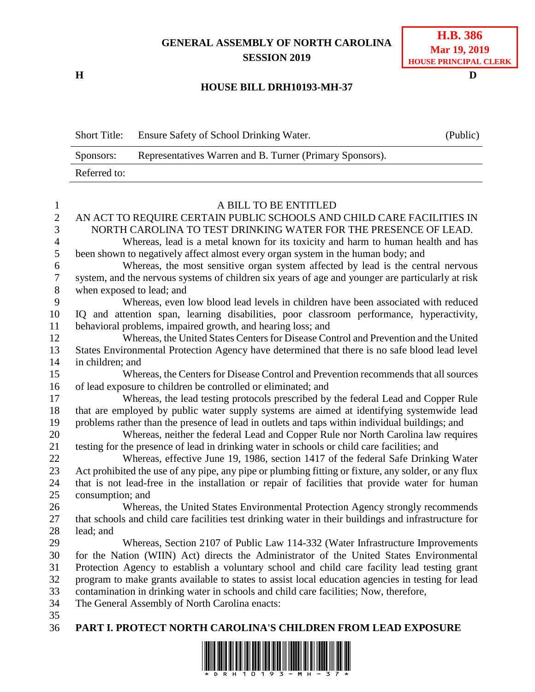## **GENERAL ASSEMBLY OF NORTH CAROLINA SESSION 2019**

**H D**

## **H.B. 386 Mar 19, 2019 HOUSE PRINCIPAL CLERK**

## **HOUSE BILL DRH10193-MH-37**

|                  | <b>Short Title:</b>                                                                                                                                                                 | Ensure Safety of School Drinking Water.                                                                                                             | (Public) |  |  |  |  |
|------------------|-------------------------------------------------------------------------------------------------------------------------------------------------------------------------------------|-----------------------------------------------------------------------------------------------------------------------------------------------------|----------|--|--|--|--|
|                  | Sponsors:                                                                                                                                                                           | Representatives Warren and B. Turner (Primary Sponsors).                                                                                            |          |  |  |  |  |
|                  | Referred to:                                                                                                                                                                        |                                                                                                                                                     |          |  |  |  |  |
|                  |                                                                                                                                                                                     |                                                                                                                                                     |          |  |  |  |  |
| $\mathbf{1}$     |                                                                                                                                                                                     | A BILL TO BE ENTITLED                                                                                                                               |          |  |  |  |  |
| $\overline{c}$   |                                                                                                                                                                                     | AN ACT TO REQUIRE CERTAIN PUBLIC SCHOOLS AND CHILD CARE FACILITIES IN                                                                               |          |  |  |  |  |
| $\overline{3}$   | NORTH CAROLINA TO TEST DRINKING WATER FOR THE PRESENCE OF LEAD.                                                                                                                     |                                                                                                                                                     |          |  |  |  |  |
| 4                | Whereas, lead is a metal known for its toxicity and harm to human health and has                                                                                                    |                                                                                                                                                     |          |  |  |  |  |
| 5                |                                                                                                                                                                                     | been shown to negatively affect almost every organ system in the human body; and                                                                    |          |  |  |  |  |
| 6                | Whereas, the most sensitive organ system affected by lead is the central nervous                                                                                                    |                                                                                                                                                     |          |  |  |  |  |
| $\boldsymbol{7}$ |                                                                                                                                                                                     | system, and the nervous systems of children six years of age and younger are particularly at risk                                                   |          |  |  |  |  |
| $\,8\,$          |                                                                                                                                                                                     | when exposed to lead; and                                                                                                                           |          |  |  |  |  |
| 9                |                                                                                                                                                                                     | Whereas, even low blood lead levels in children have been associated with reduced                                                                   |          |  |  |  |  |
| 10               |                                                                                                                                                                                     | IQ and attention span, learning disabilities, poor classroom performance, hyperactivity,                                                            |          |  |  |  |  |
| 11               |                                                                                                                                                                                     | behavioral problems, impaired growth, and hearing loss; and<br>Whereas, the United States Centers for Disease Control and Prevention and the United |          |  |  |  |  |
| 12<br>13         |                                                                                                                                                                                     |                                                                                                                                                     |          |  |  |  |  |
| 14               |                                                                                                                                                                                     | States Environmental Protection Agency have determined that there is no safe blood lead level                                                       |          |  |  |  |  |
| 15               | in children; and<br>Whereas, the Centers for Disease Control and Prevention recommends that all sources                                                                             |                                                                                                                                                     |          |  |  |  |  |
| 16               |                                                                                                                                                                                     | of lead exposure to children be controlled or eliminated; and                                                                                       |          |  |  |  |  |
| 17               |                                                                                                                                                                                     | Whereas, the lead testing protocols prescribed by the federal Lead and Copper Rule                                                                  |          |  |  |  |  |
| 18               |                                                                                                                                                                                     | that are employed by public water supply systems are aimed at identifying systemwide lead                                                           |          |  |  |  |  |
| 19               |                                                                                                                                                                                     |                                                                                                                                                     |          |  |  |  |  |
| 20               | problems rather than the presence of lead in outlets and taps within individual buildings; and<br>Whereas, neither the federal Lead and Copper Rule nor North Carolina law requires |                                                                                                                                                     |          |  |  |  |  |
| 21               | testing for the presence of lead in drinking water in schools or child care facilities; and                                                                                         |                                                                                                                                                     |          |  |  |  |  |
| 22               | Whereas, effective June 19, 1986, section 1417 of the federal Safe Drinking Water                                                                                                   |                                                                                                                                                     |          |  |  |  |  |
| 23               | Act prohibited the use of any pipe, any pipe or plumbing fitting or fixture, any solder, or any flux                                                                                |                                                                                                                                                     |          |  |  |  |  |
| 24               |                                                                                                                                                                                     | that is not lead-free in the installation or repair of facilities that provide water for human                                                      |          |  |  |  |  |
| 25               | consumption; and                                                                                                                                                                    |                                                                                                                                                     |          |  |  |  |  |
| 26               | Whereas, the United States Environmental Protection Agency strongly recommends                                                                                                      |                                                                                                                                                     |          |  |  |  |  |
| 27               |                                                                                                                                                                                     | that schools and child care facilities test drinking water in their buildings and infrastructure for                                                |          |  |  |  |  |
| 28               | lead; and                                                                                                                                                                           |                                                                                                                                                     |          |  |  |  |  |
| 29               |                                                                                                                                                                                     | Whereas, Section 2107 of Public Law 114-332 (Water Infrastructure Improvements                                                                      |          |  |  |  |  |
| 30               |                                                                                                                                                                                     | for the Nation (WIIN) Act) directs the Administrator of the United States Environmental                                                             |          |  |  |  |  |
| 31               |                                                                                                                                                                                     | Protection Agency to establish a voluntary school and child care facility lead testing grant                                                        |          |  |  |  |  |
| 32               |                                                                                                                                                                                     | program to make grants available to states to assist local education agencies in testing for lead                                                   |          |  |  |  |  |
| 33               |                                                                                                                                                                                     | contamination in drinking water in schools and child care facilities; Now, therefore,                                                               |          |  |  |  |  |

- The General Assembly of North Carolina enacts:
- 
- **PART I. PROTECT NORTH CAROLINA'S CHILDREN FROM LEAD EXPOSURE**

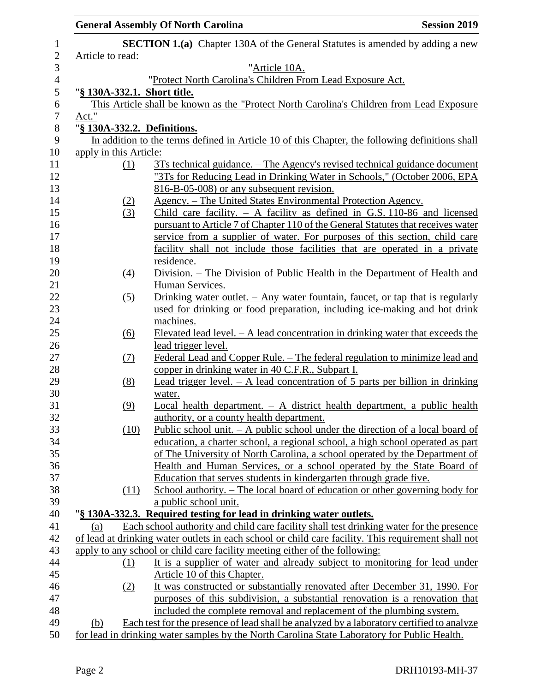|                             | <b>General Assembly Of North Carolina</b>                                                           | <b>Session 2019</b> |
|-----------------------------|-----------------------------------------------------------------------------------------------------|---------------------|
|                             | <b>SECTION 1.(a)</b> Chapter 130A of the General Statutes is amended by adding a new                |                     |
| Article to read:            |                                                                                                     |                     |
|                             | "Article 10A.                                                                                       |                     |
|                             | "Protect North Carolina's Children From Lead Exposure Act.                                          |                     |
| "§ 130A-332.1. Short title. |                                                                                                     |                     |
|                             | This Article shall be known as the "Protect North Carolina's Children from Lead Exposure            |                     |
| Act."                       |                                                                                                     |                     |
| "§ 130A-332.2. Definitions. |                                                                                                     |                     |
|                             | In addition to the terms defined in Article 10 of this Chapter, the following definitions shall     |                     |
| apply in this Article:      |                                                                                                     |                     |
| (1)                         | 3Ts technical guidance. – The Agency's revised technical guidance document                          |                     |
|                             | "3Ts for Reducing Lead in Drinking Water in Schools," (October 2006, EPA                            |                     |
|                             | 816-B-05-008) or any subsequent revision.                                                           |                     |
| (2)                         | Agency. – The United States Environmental Protection Agency.                                        |                     |
| (3)                         | Child care facility. $-$ A facility as defined in G.S. 110-86 and licensed                          |                     |
|                             | pursuant to Article 7 of Chapter 110 of the General Statutes that receives water                    |                     |
|                             | service from a supplier of water. For purposes of this section, child care                          |                     |
|                             | facility shall not include those facilities that are operated in a private                          |                     |
|                             | residence.                                                                                          |                     |
| $\left(4\right)$            | Division. – The Division of Public Health in the Department of Health and                           |                     |
|                             | Human Services.                                                                                     |                     |
| (5)                         | Drinking water outlet. $-$ Any water fountain, faucet, or tap that is regularly                     |                     |
|                             | used for drinking or food preparation, including ice-making and hot drink                           |                     |
|                             | machines.                                                                                           |                     |
| (6)                         | Elevated lead level. $- A$ lead concentration in drinking water that exceeds the                    |                     |
|                             | lead trigger level.                                                                                 |                     |
| <u>(7)</u>                  | Federal Lead and Copper Rule. – The federal regulation to minimize lead and                         |                     |
|                             | copper in drinking water in 40 C.F.R., Subpart I.                                                   |                     |
| (8)                         | Lead trigger level. $- A$ lead concentration of 5 parts per billion in drinking                     |                     |
|                             | water.                                                                                              |                     |
| (9)                         | Local health department. $- A$ district health department, a public health                          |                     |
|                             | authority, or a county health department.                                                           |                     |
| (10)                        | Public school unit. $-$ A public school under the direction of a local board of                     |                     |
|                             | education, a charter school, a regional school, a high school operated as part                      |                     |
|                             | of The University of North Carolina, a school operated by the Department of                         |                     |
|                             | Health and Human Services, or a school operated by the State Board of                               |                     |
|                             | Education that serves students in kindergarten through grade five.                                  |                     |
| (11)                        | School authority. – The local board of education or other governing body for                        |                     |
|                             | a public school unit.                                                                               |                     |
|                             | "§ 130A-332.3. Required testing for lead in drinking water outlets.                                 |                     |
| (a)                         | Each school authority and child care facility shall test drinking water for the presence            |                     |
|                             | of lead at drinking water outlets in each school or child care facility. This requirement shall not |                     |
|                             | apply to any school or child care facility meeting either of the following:                         |                     |
| (1)                         | It is a supplier of water and already subject to monitoring for lead under                          |                     |
|                             | Article 10 of this Chapter.                                                                         |                     |
| (2)                         | It was constructed or substantially renovated after December 31, 1990. For                          |                     |
|                             | purposes of this subdivision, a substantial renovation is a renovation that                         |                     |
|                             | included the complete removal and replacement of the plumbing system.                               |                     |
| (b)                         | Each test for the presence of lead shall be analyzed by a laboratory certified to analyze           |                     |
|                             | for lead in drinking water samples by the North Carolina State Laboratory for Public Health.        |                     |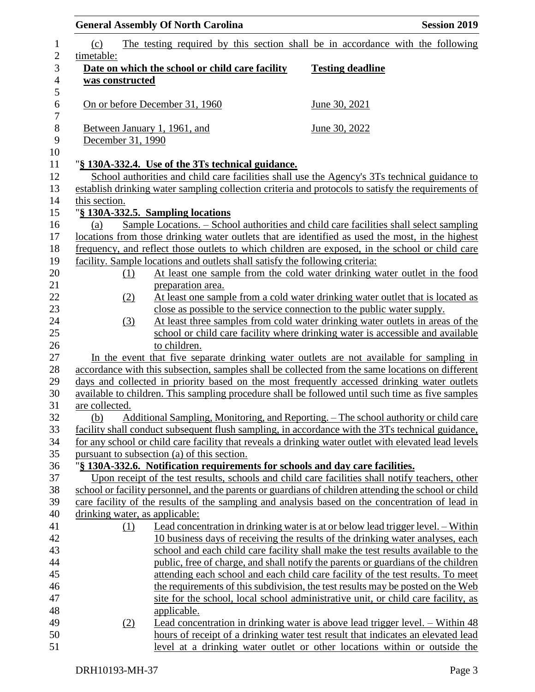|                              |                                | <b>General Assembly Of North Carolina</b>                                     | <b>Session 2019</b>                                                                                                                                      |
|------------------------------|--------------------------------|-------------------------------------------------------------------------------|----------------------------------------------------------------------------------------------------------------------------------------------------------|
| $\mathbf{1}$<br>$\mathbf{2}$ | (c)<br>timetable:              |                                                                               | The testing required by this section shall be in accordance with the following                                                                           |
| 3                            |                                | Date on which the school or child care facility                               | <b>Testing deadline</b>                                                                                                                                  |
| $\overline{\mathcal{L}}$     | was constructed                |                                                                               |                                                                                                                                                          |
| 5                            |                                |                                                                               |                                                                                                                                                          |
| 6                            |                                | On or before December 31, 1960                                                | June 30, 2021                                                                                                                                            |
| $\boldsymbol{7}$             |                                |                                                                               |                                                                                                                                                          |
| $\,8\,$                      |                                | Between January 1, 1961, and                                                  | <u>June 30, 2022</u>                                                                                                                                     |
| 9                            | December 31, 1990              |                                                                               |                                                                                                                                                          |
| 10                           |                                |                                                                               |                                                                                                                                                          |
| 11                           |                                | "§ 130A-332.4. Use of the 3Ts technical guidance.                             |                                                                                                                                                          |
| 12                           |                                |                                                                               | School authorities and child care facilities shall use the Agency's 3Ts technical guidance to                                                            |
| 13                           |                                |                                                                               | establish drinking water sampling collection criteria and protocols to satisfy the requirements of                                                       |
| 14                           | this section.                  |                                                                               |                                                                                                                                                          |
| 15                           |                                | "§ 130A-332.5. Sampling locations                                             |                                                                                                                                                          |
| 16                           | (a)                            |                                                                               | Sample Locations. – School authorities and child care facilities shall select sampling                                                                   |
| 17                           |                                |                                                                               | locations from those drinking water outlets that are identified as used the most, in the highest                                                         |
| 18                           |                                |                                                                               | frequency, and reflect those outlets to which children are exposed, in the school or child care                                                          |
| 19                           |                                | facility. Sample locations and outlets shall satisfy the following criteria:  |                                                                                                                                                          |
| 20                           | (1)                            |                                                                               | At least one sample from the cold water drinking water outlet in the food                                                                                |
| 21<br>22                     |                                | preparation area.                                                             |                                                                                                                                                          |
| 23                           | (2)                            |                                                                               | At least one sample from a cold water drinking water outlet that is located as                                                                           |
| 24                           |                                |                                                                               | close as possible to the service connection to the public water supply.<br>At least three samples from cold water drinking water outlets in areas of the |
| 25                           | (3)                            |                                                                               | school or child care facility where drinking water is accessible and available                                                                           |
| 26                           |                                | to children.                                                                  |                                                                                                                                                          |
| 27                           |                                |                                                                               | In the event that five separate drinking water outlets are not available for sampling in                                                                 |
| 28                           |                                |                                                                               | accordance with this subsection, samples shall be collected from the same locations on different                                                         |
| 29                           |                                |                                                                               | days and collected in priority based on the most frequently accessed drinking water outlets                                                              |
| 30                           |                                |                                                                               | available to children. This sampling procedure shall be followed until such time as five samples                                                         |
| 31                           | are collected.                 |                                                                               |                                                                                                                                                          |
| 32                           | (b)                            |                                                                               | Additional Sampling, Monitoring, and Reporting. - The school authority or child care                                                                     |
| 33                           |                                |                                                                               | facility shall conduct subsequent flush sampling, in accordance with the 3Ts technical guidance,                                                         |
| 34                           |                                |                                                                               | for any school or child care facility that reveals a drinking water outlet with elevated lead levels                                                     |
| 35                           |                                | pursuant to subsection (a) of this section.                                   |                                                                                                                                                          |
| 36                           |                                | "§ 130A-332.6. Notification requirements for schools and day care facilities. |                                                                                                                                                          |
| 37                           |                                |                                                                               | Upon receipt of the test results, schools and child care facilities shall notify teachers, other                                                         |
| 38                           |                                |                                                                               | school or facility personnel, and the parents or guardians of children attending the school or child                                                     |
| 39                           |                                |                                                                               | care facility of the results of the sampling and analysis based on the concentration of lead in                                                          |
| 40                           | drinking water, as applicable: |                                                                               |                                                                                                                                                          |
| 41                           | (1)                            |                                                                               | Lead concentration in drinking water is at or below lead trigger level. – Within                                                                         |
| 42                           |                                |                                                                               | 10 business days of receiving the results of the drinking water analyses, each                                                                           |
| 43                           |                                |                                                                               | school and each child care facility shall make the test results available to the                                                                         |
| 44                           |                                |                                                                               | public, free of charge, and shall notify the parents or guardians of the children                                                                        |
| 45                           |                                |                                                                               | attending each school and each child care facility of the test results. To meet                                                                          |
| 46                           |                                |                                                                               | the requirements of this subdivision, the test results may be posted on the Web                                                                          |
| 47                           |                                |                                                                               | site for the school, local school administrative unit, or child care facility, as                                                                        |
| 48                           |                                | <u>applicable.</u>                                                            |                                                                                                                                                          |
| 49                           | (2)                            |                                                                               | Lead concentration in drinking water is above lead trigger level. – Within 48                                                                            |
| 50                           |                                |                                                                               | hours of receipt of a drinking water test result that indicates an elevated lead                                                                         |
| 51                           |                                |                                                                               | level at a drinking water outlet or other locations within or outside the                                                                                |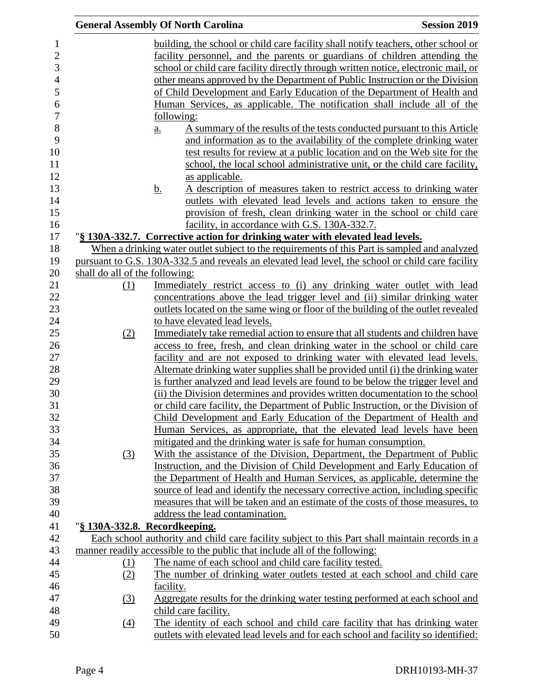|          | <b>General Assembly Of North Carolina</b>                                                                                                                        | <b>Session 2019</b> |
|----------|------------------------------------------------------------------------------------------------------------------------------------------------------------------|---------------------|
|          | building, the school or child care facility shall notify teachers, other school or                                                                               |                     |
|          | facility personnel, and the parents or guardians of children attending the                                                                                       |                     |
|          | school or child care facility directly through written notice, electronic mail, or                                                                               |                     |
|          | other means approved by the Department of Public Instruction or the Division                                                                                     |                     |
|          | of Child Development and Early Education of the Department of Health and                                                                                         |                     |
|          | Human Services, as applicable. The notification shall include all of the                                                                                         |                     |
|          | following:                                                                                                                                                       |                     |
|          | A summary of the results of the tests conducted pursuant to this Article<br>$\underline{a}$ .                                                                    |                     |
|          | and information as to the availability of the complete drinking water                                                                                            |                     |
|          | test results for review at a public location and on the Web site for the                                                                                         |                     |
|          | school, the local school administrative unit, or the child care facility,                                                                                        |                     |
|          | as applicable.                                                                                                                                                   |                     |
|          | <u>b.</u><br>A description of measures taken to restrict access to drinking water                                                                                |                     |
|          | outlets with elevated lead levels and actions taken to ensure the                                                                                                |                     |
|          | provision of fresh, clean drinking water in the school or child care                                                                                             |                     |
|          | facility, in accordance with G.S. 130A-332.7.                                                                                                                    |                     |
|          | "§ 130A-332.7. Corrective action for drinking water with elevated lead levels.                                                                                   |                     |
|          | When a drinking water outlet subject to the requirements of this Part is sampled and analyzed                                                                    |                     |
|          | pursuant to G.S. 130A-332.5 and reveals an elevated lead level, the school or child care facility                                                                |                     |
|          | shall do all of the following:<br>Immediately restrict access to (i) any drinking water outlet with lead                                                         |                     |
| (1)      | concentrations above the lead trigger level and (ii) similar drinking water                                                                                      |                     |
|          | outlets located on the same wing or floor of the building of the outlet revealed                                                                                 |                     |
|          | to have elevated lead levels.                                                                                                                                    |                     |
| (2)      | Immediately take remedial action to ensure that all students and children have                                                                                   |                     |
|          | access to free, fresh, and clean drinking water in the school or child care                                                                                      |                     |
|          | facility and are not exposed to drinking water with elevated lead levels.                                                                                        |                     |
|          | Alternate drinking water supplies shall be provided until (i) the drinking water                                                                                 |                     |
|          | is further analyzed and lead levels are found to be below the trigger level and                                                                                  |                     |
|          | (ii) the Division determines and provides written documentation to the school                                                                                    |                     |
|          | or child care facility, the Department of Public Instruction, or the Division of                                                                                 |                     |
|          | Child Development and Early Education of the Department of Health and                                                                                            |                     |
|          | Human Services, as appropriate, that the elevated lead levels have been                                                                                          |                     |
|          | mitigated and the drinking water is safe for human consumption.                                                                                                  |                     |
| (3)      | With the assistance of the Division, Department, the Department of Public                                                                                        |                     |
|          | Instruction, and the Division of Child Development and Early Education of                                                                                        |                     |
|          | the Department of Health and Human Services, as applicable, determine the                                                                                        |                     |
|          | source of lead and identify the necessary corrective action, including specific                                                                                  |                     |
|          | measures that will be taken and an estimate of the costs of those measures, to                                                                                   |                     |
|          | address the lead contamination.                                                                                                                                  |                     |
|          | "§ 130A-332.8. Recordkeeping.                                                                                                                                    |                     |
|          | Each school authority and child care facility subject to this Part shall maintain records in a                                                                   |                     |
|          | manner readily accessible to the public that include all of the following:                                                                                       |                     |
| (1)      | The name of each school and child care facility tested.                                                                                                          |                     |
| (2)      | The number of drinking water outlets tested at each school and child care                                                                                        |                     |
|          | facility.                                                                                                                                                        |                     |
| (3)      | Aggregate results for the drinking water testing performed at each school and                                                                                    |                     |
|          | child care facility.                                                                                                                                             |                     |
| $\Delta$ | The identity of each school and child care facility that has drinking water<br>outlets with elevated lead levels and for each school and facility so identified: |                     |
|          |                                                                                                                                                                  |                     |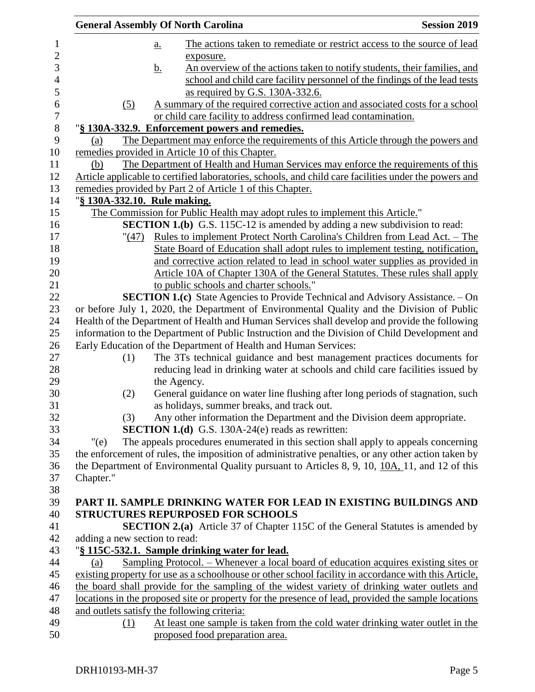|                  | <b>General Assembly Of North Carolina</b>   |           | <b>Session 2019</b>                                                                                                                 |  |
|------------------|---------------------------------------------|-----------|-------------------------------------------------------------------------------------------------------------------------------------|--|
| 1                |                                             | <u>a.</u> | The actions taken to remediate or restrict access to the source of lead                                                             |  |
| $\overline{2}$   |                                             |           | exposure.                                                                                                                           |  |
| 3                |                                             | <u>b.</u> | An overview of the actions taken to notify students, their families, and                                                            |  |
| $\overline{4}$   |                                             |           | school and child care facility personnel of the findings of the lead tests                                                          |  |
| 5                |                                             |           | as required by G.S. 130A-332.6.                                                                                                     |  |
| 6                | (5)                                         |           | A summary of the required corrective action and associated costs for a school                                                       |  |
| $\boldsymbol{7}$ |                                             |           | or child care facility to address confirmed lead contamination.                                                                     |  |
| 8                |                                             |           | "§ 130A-332.9. Enforcement powers and remedies.                                                                                     |  |
| 9                | (a)                                         |           | The Department may enforce the requirements of this Article through the powers and                                                  |  |
| 10               |                                             |           | remedies provided in Article 10 of this Chapter.                                                                                    |  |
| 11               | (b)                                         |           | The Department of Health and Human Services may enforce the requirements of this                                                    |  |
| 12<br>13         |                                             |           | Article applicable to certified laboratories, schools, and child care facilities under the powers and                               |  |
| 14               | "§ 130A-332.10. Rule making.                |           | remedies provided by Part 2 of Article 1 of this Chapter.                                                                           |  |
| 15               |                                             |           | The Commission for Public Health may adopt rules to implement this Article."                                                        |  |
| 16               |                                             |           | <b>SECTION 1.(b)</b> G.S. 115C-12 is amended by adding a new subdivision to read:                                                   |  |
| 17               | " (47)                                      |           | <u>Rules to implement Protect North Carolina's Children from Lead Act. – The</u>                                                    |  |
| 18               |                                             |           | State Board of Education shall adopt rules to implement testing, notification,                                                      |  |
| 19               |                                             |           | and corrective action related to lead in school water supplies as provided in                                                       |  |
| 20               |                                             |           | Article 10A of Chapter 130A of the General Statutes. These rules shall apply                                                        |  |
| 21               |                                             |           | to public schools and charter schools."                                                                                             |  |
| 22               |                                             |           | <b>SECTION 1.(c)</b> State Agencies to Provide Technical and Advisory Assistance. - On                                              |  |
| 23               |                                             |           | or before July 1, 2020, the Department of Environmental Quality and the Division of Public                                          |  |
| 24               |                                             |           | Health of the Department of Health and Human Services shall develop and provide the following                                       |  |
| 25               |                                             |           | information to the Department of Public Instruction and the Division of Child Development and                                       |  |
| 26               |                                             |           | Early Education of the Department of Health and Human Services:                                                                     |  |
| 27               | (1)                                         |           | The 3Ts technical guidance and best management practices documents for                                                              |  |
| 28               |                                             |           | reducing lead in drinking water at schools and child care facilities issued by                                                      |  |
| 29               |                                             |           | the Agency.                                                                                                                         |  |
| 30               | (2)                                         |           | General guidance on water line flushing after long periods of stagnation, such                                                      |  |
| 31               |                                             |           | as holidays, summer breaks, and track out.                                                                                          |  |
| 32<br>33         | (3)                                         |           | Any other information the Department and the Division deem appropriate.<br><b>SECTION 1.(d)</b> G.S. 130A-24(e) reads as rewritten: |  |
| 34               | " $(e)$                                     |           | The appeals procedures enumerated in this section shall apply to appeals concerning                                                 |  |
| 35               |                                             |           | the enforcement of rules, the imposition of administrative penalties, or any other action taken by                                  |  |
| 36               |                                             |           | the Department of Environmental Quality pursuant to Articles 8, 9, 10, 10A, 11, and 12 of this                                      |  |
| 37               | Chapter."                                   |           |                                                                                                                                     |  |
| 38               |                                             |           |                                                                                                                                     |  |
| 39               |                                             |           | PART II. SAMPLE DRINKING WATER FOR LEAD IN EXISTING BUILDINGS AND                                                                   |  |
| 40               |                                             |           | <b>STRUCTURES REPURPOSED FOR SCHOOLS</b>                                                                                            |  |
| 41               |                                             |           | <b>SECTION 2.(a)</b> Article 37 of Chapter 115C of the General Statutes is amended by                                               |  |
| 42               | adding a new section to read:               |           |                                                                                                                                     |  |
| 43               |                                             |           | "§ 115C-532.1. Sample drinking water for lead.                                                                                      |  |
| 44               | (a)                                         |           | <u> Sampling Protocol. – Whenever a local board of education acquires existing sites or</u>                                         |  |
| 45               |                                             |           | existing property for use as a schoolhouse or other school facility in accordance with this Article,                                |  |
| 46               |                                             |           | the board shall provide for the sampling of the widest variety of drinking water outlets and                                        |  |
| 47               |                                             |           | locations in the proposed site or property for the presence of lead, provided the sample locations                                  |  |
| 48               | and outlets satisfy the following criteria: |           |                                                                                                                                     |  |
| 49               | (1)                                         |           | At least one sample is taken from the cold water drinking water outlet in the                                                       |  |
| 50               |                                             |           | proposed food preparation area.                                                                                                     |  |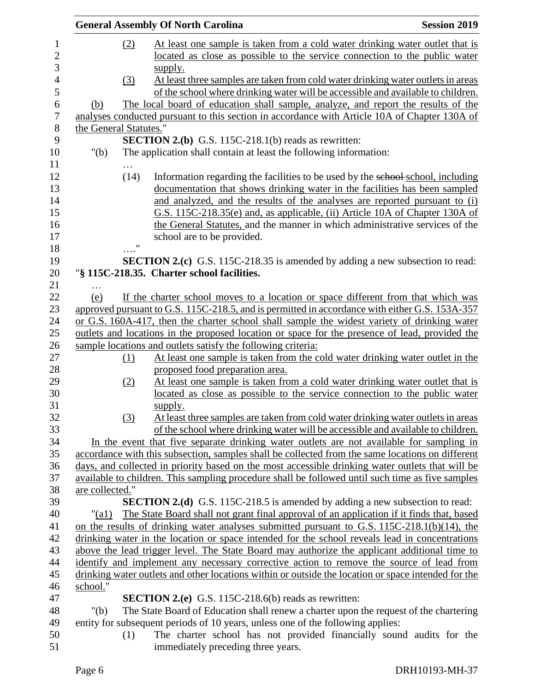|                |                                                                                          |      | <b>General Assembly Of North Carolina</b>                                                                                                                                                    | <b>Session 2019</b> |
|----------------|------------------------------------------------------------------------------------------|------|----------------------------------------------------------------------------------------------------------------------------------------------------------------------------------------------|---------------------|
| 1              |                                                                                          | (2)  | At least one sample is taken from a cold water drinking water outlet that is                                                                                                                 |                     |
| $\overline{c}$ |                                                                                          |      | located as close as possible to the service connection to the public water                                                                                                                   |                     |
| 3              |                                                                                          |      | supply.                                                                                                                                                                                      |                     |
| $\overline{4}$ |                                                                                          | (3)  | At least three samples are taken from cold water drinking water outlets in areas                                                                                                             |                     |
| 5              |                                                                                          |      | of the school where drinking water will be accessible and available to children.                                                                                                             |                     |
| 6              | (b)                                                                                      |      | The local board of education shall sample, analyze, and report the results of the                                                                                                            |                     |
| $\tau$         |                                                                                          |      | analyses conducted pursuant to this section in accordance with Article 10A of Chapter 130A of                                                                                                |                     |
| $8\,$          | the General Statutes."                                                                   |      |                                                                                                                                                                                              |                     |
| 9              |                                                                                          |      | <b>SECTION 2.(b)</b> G.S. 115C-218.1(b) reads as rewritten:                                                                                                                                  |                     |
| 10             | " $(b)$                                                                                  |      | The application shall contain at least the following information:                                                                                                                            |                     |
| 11             |                                                                                          | .    |                                                                                                                                                                                              |                     |
| 12             |                                                                                          | (14) | Information regarding the facilities to be used by the school school, including                                                                                                              |                     |
| 13             |                                                                                          |      | documentation that shows drinking water in the facilities has been sampled                                                                                                                   |                     |
| 14             |                                                                                          |      | and analyzed, and the results of the analyses are reported pursuant to (i)                                                                                                                   |                     |
| 15             |                                                                                          |      | G.S. 115C-218.35(e) and, as applicable, (ii) Article 10A of Chapter 130A of                                                                                                                  |                     |
| 16             |                                                                                          |      | the General Statutes, and the manner in which administrative services of the                                                                                                                 |                     |
| 17             |                                                                                          |      | school are to be provided.                                                                                                                                                                   |                     |
| 18             |                                                                                          |      |                                                                                                                                                                                              |                     |
| 19             |                                                                                          |      | <b>SECTION 2.(c)</b> G.S. 115C-218.35 is amended by adding a new subsection to read:                                                                                                         |                     |
| 20             |                                                                                          |      | "§ 115C-218.35. Charter school facilities.                                                                                                                                                   |                     |
| 21             |                                                                                          |      |                                                                                                                                                                                              |                     |
| 22             | (e)                                                                                      |      | If the charter school moves to a location or space different from that which was                                                                                                             |                     |
| 23             |                                                                                          |      | approved pursuant to G.S. 115C-218.5, and is permitted in accordance with either G.S. 153A-357                                                                                               |                     |
| 24             |                                                                                          |      | or G.S. 160A-417, then the charter school shall sample the widest variety of drinking water                                                                                                  |                     |
| 25             |                                                                                          |      | outlets and locations in the proposed location or space for the presence of lead, provided the                                                                                               |                     |
| 26             |                                                                                          |      | sample locations and outlets satisfy the following criteria:                                                                                                                                 |                     |
| 27             |                                                                                          | (1)  | At least one sample is taken from the cold water drinking water outlet in the                                                                                                                |                     |
| 28             |                                                                                          |      | proposed food preparation area.                                                                                                                                                              |                     |
| 29             |                                                                                          | (2)  | At least one sample is taken from a cold water drinking water outlet that is                                                                                                                 |                     |
| 30             |                                                                                          |      | located as close as possible to the service connection to the public water                                                                                                                   |                     |
| 31             |                                                                                          |      | supply.                                                                                                                                                                                      |                     |
| 32             |                                                                                          | (3)  | At least three samples are taken from cold water drinking water outlets in areas                                                                                                             |                     |
| 33             |                                                                                          |      | of the school where drinking water will be accessible and available to children.                                                                                                             |                     |
| 34             |                                                                                          |      | In the event that five separate drinking water outlets are not available for sampling in<br>accordance with this subsection, samples shall be collected from the same locations on different |                     |
| 35<br>36       |                                                                                          |      | days, and collected in priority based on the most accessible drinking water outlets that will be                                                                                             |                     |
| 37             |                                                                                          |      | available to children. This sampling procedure shall be followed until such time as five samples                                                                                             |                     |
| 38             | are collected."                                                                          |      |                                                                                                                                                                                              |                     |
| 39             |                                                                                          |      | <b>SECTION 2.(d)</b> G.S. 115C-218.5 is amended by adding a new subsection to read:                                                                                                          |                     |
| 40             | "(a1)                                                                                    |      | The State Board shall not grant final approval of an application if it finds that, based                                                                                                     |                     |
| 41             |                                                                                          |      | on the results of drinking water analyses submitted pursuant to G.S. 115C-218.1(b)(14), the                                                                                                  |                     |
| 42             |                                                                                          |      | drinking water in the location or space intended for the school reveals lead in concentrations                                                                                               |                     |
| 43             |                                                                                          |      | above the lead trigger level. The State Board may authorize the applicant additional time to                                                                                                 |                     |
| 44             | identify and implement any necessary corrective action to remove the source of lead from |      |                                                                                                                                                                                              |                     |
| 45             |                                                                                          |      | drinking water outlets and other locations within or outside the location or space intended for the                                                                                          |                     |
| 46             | school."                                                                                 |      |                                                                                                                                                                                              |                     |
| 47             |                                                                                          |      | <b>SECTION 2.(e)</b> G.S. 115C-218.6(b) reads as rewritten:                                                                                                                                  |                     |
| 48             | " $(b)$                                                                                  |      | The State Board of Education shall renew a charter upon the request of the chartering                                                                                                        |                     |
| 49             |                                                                                          |      | entity for subsequent periods of 10 years, unless one of the following applies:                                                                                                              |                     |
| 50             |                                                                                          | (1)  | The charter school has not provided financially sound audits for the                                                                                                                         |                     |
| 51             |                                                                                          |      | immediately preceding three years.                                                                                                                                                           |                     |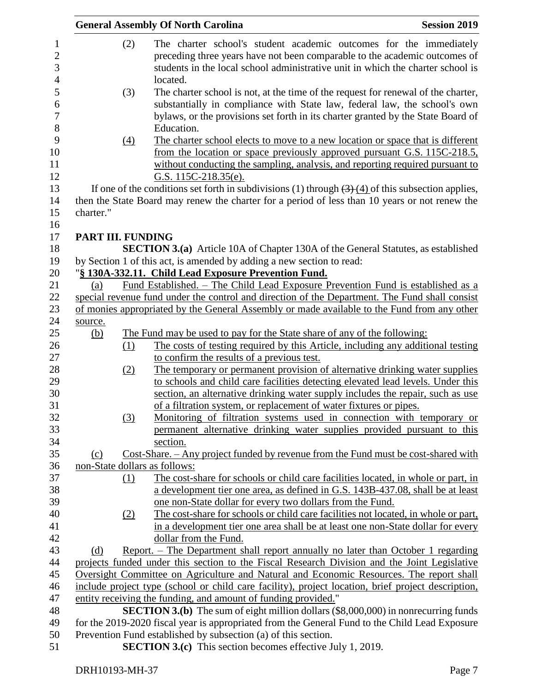|                               | <b>General Assembly Of North Carolina</b>                                                                                                                                                                                                                              | <b>Session 2019</b> |
|-------------------------------|------------------------------------------------------------------------------------------------------------------------------------------------------------------------------------------------------------------------------------------------------------------------|---------------------|
| (2)                           | The charter school's student academic outcomes for the immediately<br>preceding three years have not been comparable to the academic outcomes of<br>students in the local school administrative unit in which the charter school is<br>located.                        |                     |
| (3)                           | The charter school is not, at the time of the request for renewal of the charter,<br>substantially in compliance with State law, federal law, the school's own<br>bylaws, or the provisions set forth in its charter granted by the State Board of<br>Education.       |                     |
| (4)                           | The charter school elects to move to a new location or space that is different<br>from the location or space previously approved pursuant G.S. 115C-218.5,<br>without conducting the sampling, analysis, and reporting required pursuant to<br>G.S. $115C-218.35(e)$ . |                     |
|                               | If one of the conditions set forth in subdivisions (1) through $\left(\frac{3}{4}\right)\left(\frac{4}{1}\right)$ of this subsection applies,                                                                                                                          |                     |
| charter."                     | then the State Board may renew the charter for a period of less than 10 years or not renew the                                                                                                                                                                         |                     |
| PART III. FUNDING             |                                                                                                                                                                                                                                                                        |                     |
|                               | <b>SECTION 3.(a)</b> Article 10A of Chapter 130A of the General Statutes, as established<br>by Section 1 of this act, is amended by adding a new section to read:                                                                                                      |                     |
|                               | "§ 130A-332.11. Child Lead Exposure Prevention Fund.                                                                                                                                                                                                                   |                     |
| (a)                           | Fund Established. - The Child Lead Exposure Prevention Fund is established as a                                                                                                                                                                                        |                     |
|                               | special revenue fund under the control and direction of the Department. The Fund shall consist                                                                                                                                                                         |                     |
|                               | of monies appropriated by the General Assembly or made available to the Fund from any other                                                                                                                                                                            |                     |
| source.                       |                                                                                                                                                                                                                                                                        |                     |
| <u>(b)</u>                    | The Fund may be used to pay for the State share of any of the following:                                                                                                                                                                                               |                     |
| (1)                           | The costs of testing required by this Article, including any additional testing                                                                                                                                                                                        |                     |
|                               | to confirm the results of a previous test.                                                                                                                                                                                                                             |                     |
| (2)                           | The temporary or permanent provision of alternative drinking water supplies                                                                                                                                                                                            |                     |
|                               | to schools and child care facilities detecting elevated lead levels. Under this                                                                                                                                                                                        |                     |
|                               | section, an alternative drinking water supply includes the repair, such as use                                                                                                                                                                                         |                     |
|                               | of a filtration system, or replacement of water fixtures or pipes.                                                                                                                                                                                                     |                     |
| (3)                           | Monitoring of filtration systems used in connection with temporary or                                                                                                                                                                                                  |                     |
|                               | permanent alternative drinking water supplies provided pursuant to this                                                                                                                                                                                                |                     |
|                               | section.                                                                                                                                                                                                                                                               |                     |
| (c)                           | Cost-Share. - Any project funded by revenue from the Fund must be cost-shared with                                                                                                                                                                                     |                     |
| non-State dollars as follows: |                                                                                                                                                                                                                                                                        |                     |
| (1)                           | The cost-share for schools or child care facilities located, in whole or part, in                                                                                                                                                                                      |                     |
|                               | a development tier one area, as defined in G.S. 143B-437.08, shall be at least                                                                                                                                                                                         |                     |
|                               | one non-State dollar for every two dollars from the Fund.                                                                                                                                                                                                              |                     |
| (2)                           | The cost-share for schools or child care facilities not located, in whole or part,                                                                                                                                                                                     |                     |
|                               | in a development tier one area shall be at least one non-State dollar for every                                                                                                                                                                                        |                     |
|                               | dollar from the Fund.                                                                                                                                                                                                                                                  |                     |
| (d)                           | Report. – The Department shall report annually no later than October 1 regarding                                                                                                                                                                                       |                     |
|                               | projects funded under this section to the Fiscal Research Division and the Joint Legislative                                                                                                                                                                           |                     |
|                               | Oversight Committee on Agriculture and Natural and Economic Resources. The report shall                                                                                                                                                                                |                     |
|                               | include project type (school or child care facility), project location, brief project description,                                                                                                                                                                     |                     |
|                               | entity receiving the funding, and amount of funding provided."                                                                                                                                                                                                         |                     |
|                               | SECTION 3.(b) The sum of eight million dollars (\$8,000,000) in nonrecurring funds                                                                                                                                                                                     |                     |
|                               | for the 2019-2020 fiscal year is appropriated from the General Fund to the Child Lead Exposure                                                                                                                                                                         |                     |
|                               | Prevention Fund established by subsection (a) of this section.                                                                                                                                                                                                         |                     |
|                               | <b>SECTION 3.(c)</b> This section becomes effective July 1, 2019.                                                                                                                                                                                                      |                     |